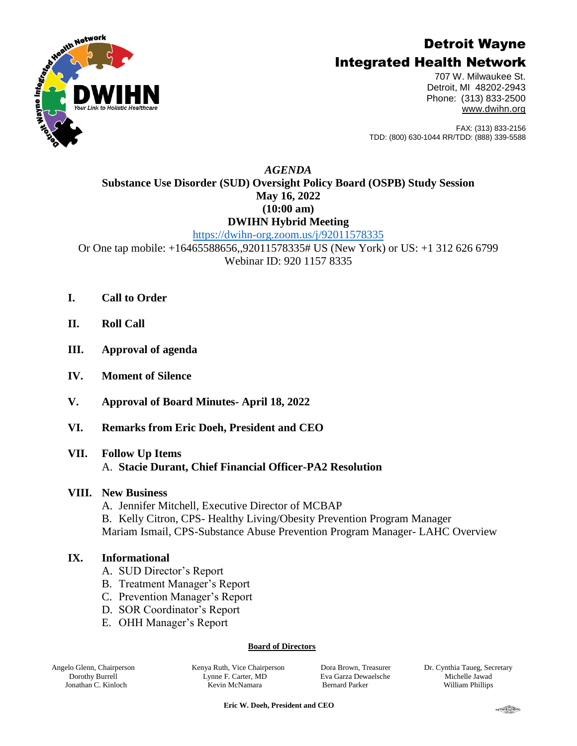# Detroit Wayne



## Integrated Health Network

707 W. Milwaukee St. Detroit, MI 48202-2943 Phone: (313) 833-2500 [www.dwihn.org](http://www.dwmha.com/)

FAX: (313) 833-2156 TDD: (800) 630-1044 RR/TDD: (888) 339-5588

## *AGENDA* **Substance Use Disorder (SUD) Oversight Policy Board (OSPB) Study Session May 16, 2022 (10:00 am) DWIHN Hybrid Meeting**

<https://dwihn-org.zoom.us/j/92011578335>

Or One tap mobile: +16465588656,,92011578335# US (New York) or US: +1 312 626 6799 Webinar ID: 920 1157 8335

- **I. Call to Order**
- **II. Roll Call**
- **III. Approval of agenda**
- **IV. Moment of Silence**
- **V. Approval of Board Minutes- April 18, 2022**
- **VI. Remarks from Eric Doeh, President and CEO**

### **VII. Follow Up Items**

A. **Stacie Durant, Chief Financial Officer-PA2 Resolution**

### **VIII. New Business**

- A. Jennifer Mitchell, Executive Director of MCBAP
- B. Kelly Citron, CPS- Healthy Living/Obesity Prevention Program Manager

Mariam Ismail, CPS-Substance Abuse Prevention Program Manager- LAHC Overview

### **IX. Informational**

- A. SUD Director's Report
- B. Treatment Manager's Report
- C. Prevention Manager's Report
- D. SOR Coordinator's Report
- E. OHH Manager's Report

#### **Board of Directors**

Angelo Glenn, Chairperson Dorothy Burrell Jonathan C. Kinloch

Kenya Ruth, Vice Chairperson Lynne F. Carter, MD Kevin McNamara

Dora Brown, Treasurer Eva Garza Dewaelsche Bernard Parker

Dr. Cynthia Taueg, Secretary Michelle Jawad William Phillips

 **Eric W. Doeh, President and CEO**